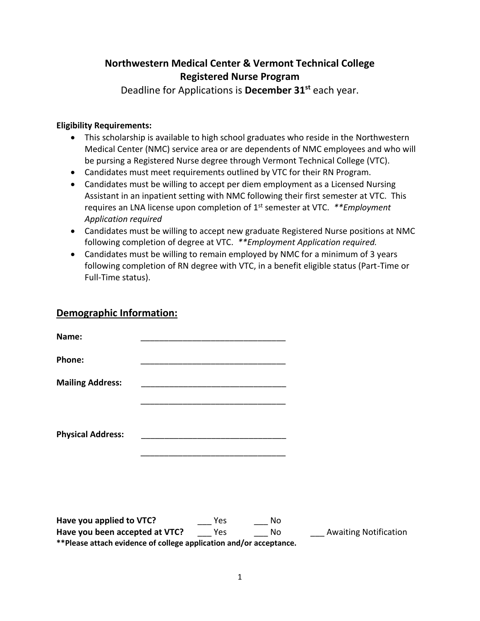## **Northwestern Medical Center & Vermont Technical College Registered Nurse Program**

Deadline for Applications is **December 31st** each year.

## **Eligibility Requirements:**

- This scholarship is available to high school graduates who reside in the Northwestern Medical Center (NMC) service area or are dependents of NMC employees and who will be pursing a Registered Nurse degree through Vermont Technical College (VTC).
- Candidates must meet requirements outlined by VTC for their RN Program.
- Candidates must be willing to accept per diem employment as a Licensed Nursing Assistant in an inpatient setting with NMC following their first semester at VTC. This requires an LNA license upon completion of 1st semester at VTC. *\*\*Employment Application required*
- Candidates must be willing to accept new graduate Registered Nurse positions at NMC following completion of degree at VTC. *\*\*Employment Application required.*
- Candidates must be willing to remain employed by NMC for a minimum of 3 years following completion of RN degree with VTC, in a benefit eligible status (Part-Time or Full-Time status).

## **Demographic Information:**

| Name:                    |                                                    |  |
|--------------------------|----------------------------------------------------|--|
| Phone:                   |                                                    |  |
| <b>Mailing Address:</b>  |                                                    |  |
|                          |                                                    |  |
| <b>Physical Address:</b> | <u> 1980 - John Stein, Amerikaansk politiker (</u> |  |
|                          |                                                    |  |
|                          |                                                    |  |
|                          |                                                    |  |
| $\cdots$                 |                                                    |  |

**Have you applied to VTC?** The Yes No **Have you been accepted at VTC?** Yes No Awaiting Notification **\*\*Please attach evidence of college application and/or acceptance.**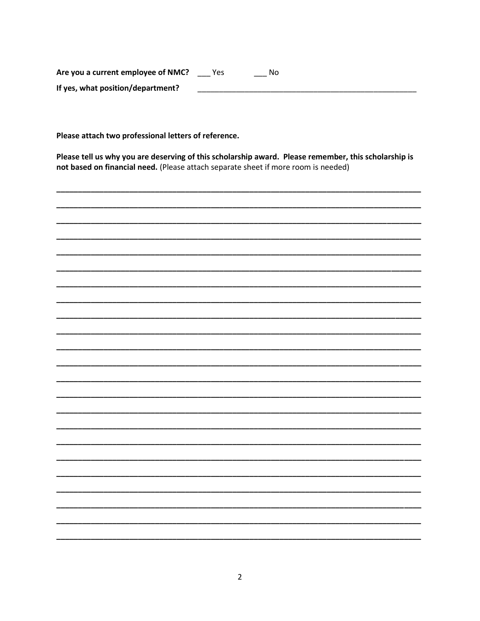Are you a current employee of NMC? \_\_\_ Yes \_\_\_ No If yes, what position/department? <u> 2002 - Jan James James Jan James James James James James James James James James James James James James James Ja</u>

Please attach two professional letters of reference.

Please tell us why you are deserving of this scholarship award. Please remember, this scholarship is not based on financial need. (Please attach separate sheet if more room is needed)